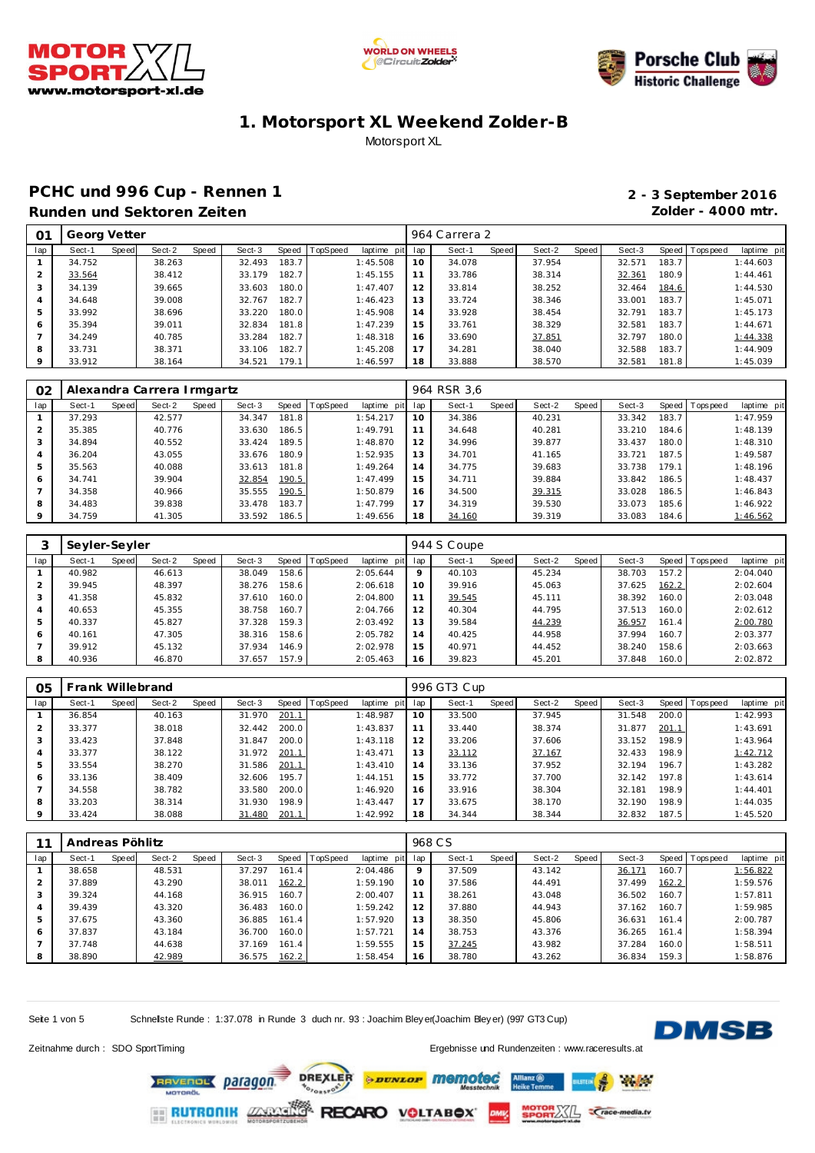





### **PCHC und 996 Cup - Rennen 1 2 - 3 September 2016 Runden und Sektoren Zeiten Zolder - 4000 mtr.**

| O1      | Georg Vetter |       |        |       |        |       |                |             |                 | 964 Carrera 2 |       |        |       |        |       |                |             |
|---------|--------------|-------|--------|-------|--------|-------|----------------|-------------|-----------------|---------------|-------|--------|-------|--------|-------|----------------|-------------|
| lap     | Sect-1       | Speed | Sect-2 | Speed | Sect-3 |       | Speed TopSpeed | laptime pit | lap             | Sect-1        | Speed | Sect-2 | Speed | Sect-3 |       | Speed Topspeed | laptime pit |
|         | 34.752       |       | 38.263 |       | 32.493 | 183.7 |                | 1:45.508    | 10              | 34.078        |       | 37.954 |       | 32.571 | 183.7 |                | 1:44.603    |
|         | 33.564       |       | 38.412 |       | 33.179 | 182.7 |                | 1:45.155    |                 | 33.786        |       | 38.314 |       | 32.361 | 180.9 |                | 1:44.461    |
| 3       | 34.139       |       | 39.665 |       | 33.603 | 180.0 |                | 1:47.407    | 12 <sup>1</sup> | 33.814        |       | 38.252 |       | 32.464 | 184.6 |                | 1:44.530    |
|         | 34.648       |       | 39.008 |       | 32.767 | 182.7 |                | 1:46.423    | 13              | 33.724        |       | 38.346 |       | 33.001 | 183.7 |                | 1:45.071    |
| 5       | 33.992       |       | 38.696 |       | 33.220 | 180.0 |                | 1:45.908    | 14              | 33.928        |       | 38.454 |       | 32.791 | 183.7 |                | 1:45.173    |
| 6       | 35.394       |       | 39.011 |       | 32.834 | 181.8 |                | 1:47.239    | 15              | 33.761        |       | 38.329 |       | 32.581 | 183.7 |                | 1:44.671    |
|         | 34.249       |       | 40.785 |       | 33.284 | 182.7 |                | 1:48.318    | 16              | 33.690        |       | 37.851 |       | 32.797 | 180.0 |                | 1:44.338    |
| 8       | 33.731       |       | 38.371 |       | 33.106 | 182.7 |                | 1:45.208    | 17              | 34.281        |       | 38.040 |       | 32.588 | 183.7 |                | 1:44.909    |
| $\circ$ | 33.912       |       | 38.164 |       | 34.521 | 179.1 |                | 1:46.597    | 18              | 33.888        |       | 38.570 |       | 32.581 | 181.8 |                | 1:45.039    |

| O <sub>2</sub> | Alexandra Carrera Irmgartz |       |        |       |        |       |                |             |     | 964 RSR 3,6 |       |        |       |        |       |                |             |
|----------------|----------------------------|-------|--------|-------|--------|-------|----------------|-------------|-----|-------------|-------|--------|-------|--------|-------|----------------|-------------|
| lap            | Sect-1                     | Speed | Sect-2 | Speed | Sect-3 |       | Speed TopSpeed | laptime pit | lap | Sect-1      | Speed | Sect-2 | Speed | Sect-3 |       | Speed Topspeed | laptime pit |
|                | 37.293                     |       | 42.577 |       | 34.347 | 181.8 |                | 1:54.217    | 10  | 34.386      |       | 40.231 |       | 33.342 | 183.7 |                | 1:47.959    |
|                | 35.385                     |       | 40.776 |       | 33.630 | 186.5 |                | 1:49.791    | 11  | 34.648      |       | 40.281 |       | 33.210 | 184.6 |                | 1:48.139    |
| $\cdot$        | 34.894                     |       | 40.552 |       | 33.424 | 189.5 |                | 1:48.870    | 12  | 34.996      |       | 39.877 |       | 33.437 | 180.0 |                | 1:48.310    |
| 4              | 36.204                     |       | 43.055 |       | 33.676 | 180.9 |                | 1:52.935    | 13  | 34.701      |       | 41.165 |       | 33.721 | 187.5 |                | 1:49.587    |
|                | 35.563                     |       | 40.088 |       | 33.613 | 181.8 |                | 1:49.264    | 14  | 34.775      |       | 39.683 |       | 33.738 | 179.1 |                | 1:48.196    |
| 6              | 34.741                     |       | 39.904 |       | 32.854 | 190.5 |                | 1:47.499    | 15  | 34.711      |       | 39.884 |       | 33.842 | 186.5 |                | 1:48.437    |
|                | 34.358                     |       | 40.966 |       | 35.555 | 190.5 |                | 1:50.879    | 16  | 34.500      |       | 39.315 |       | 33.028 | 186.5 |                | 1:46.843    |
| 8              | 34.483                     |       | 39.838 |       | 33.478 | 183.7 |                | 1:47.799    | 17  | 34.319      |       | 39.530 |       | 33.073 | 185.6 |                | 1:46.922    |
| $\circ$        | 34.759                     |       | 41.305 |       | 33.592 | 186.5 |                | 1:49.656    | 18  | 34.160      |       | 39.319 |       | 33.083 | 184.6 |                | 1:46.562    |

|     | Seyler-Seyler |       |        |       |        |       |          |             |         | 944 S Coupe |       |        |       |        |       |            |             |
|-----|---------------|-------|--------|-------|--------|-------|----------|-------------|---------|-------------|-------|--------|-------|--------|-------|------------|-------------|
| lap | Sect-1        | Speed | Sect-2 | Speed | Sect-3 | Speed | TopSpeed | laptime pit | lap     | Sect-1      | Speed | Sect-2 | Speed | Sect-3 | Speed | T ops peed | laptime pit |
|     | 40.982        |       | 46.613 |       | 38.049 | 158.6 |          | 2:05.644    | $\circ$ | 40.103      |       | 45.234 |       | 38.703 | 157.2 |            | 2:04.040    |
| 2   | 39.945        |       | 48.397 |       | 38.276 | 158.6 |          | 2:06.618    | 10      | 39.916      |       | 45.063 |       | 37.625 | 162.2 |            | 2:02.604    |
| 3   | 41.358        |       | 45.832 |       | 37.610 | 160.0 |          | 2:04.800    | 11      | 39.545      |       | 45.111 |       | 38.392 | 160.0 |            | 2:03.048    |
| 4   | 40.653        |       | 45.355 |       | 38.758 | 160.7 |          | 2:04.766    | 12      | 40.304      |       | 44.795 |       | 37.513 | 160.0 |            | 2:02.612    |
| 5   | 40.337        |       | 45.827 |       | 37.328 | 159.3 |          | 2:03.492    | 13      | 39.584      |       | 44.239 |       | 36.957 | 161.4 |            | 2:00.780    |
| 6   | 40.161        |       | 47.305 |       | 38.316 | 158.6 |          | 2:05.782    | 14      | 40.425      |       | 44.958 |       | 37.994 | 160.7 |            | 2:03.377    |
|     | 39.912        |       | 45.132 |       | 37.934 | 146.9 |          | 2:02.978    | 15      | 40.971      |       | 44.452 |       | 38.240 | 158.6 |            | 2:03.663    |
| 8   | 40.936        |       | 46.870 |       | 37.657 | 157.9 |          | 2:05.463    | 16      | 39.823      |       | 45.201 |       | 37.848 | 160.0 |            | 2:02.872    |

| 05             |        | Frank Willebrand |        |       |        |       |                  |             |     | 996 GT3 Cup |       |        |       |        |       |                 |             |
|----------------|--------|------------------|--------|-------|--------|-------|------------------|-------------|-----|-------------|-------|--------|-------|--------|-------|-----------------|-------------|
| lap            | Sect-1 | Speed            | Sect-2 | Speed | Sect-3 |       | Speed   TopSpeed | laptime pit | lap | Sect-1      | Speed | Sect-2 | Speed | Sect-3 |       | Speed Tops peed | laptime pit |
|                | 36.854 |                  | 40.163 |       | 31.970 | 201.1 |                  | 1:48.987    | 10  | 33.500      |       | 37.945 |       | 31.548 | 200.0 |                 | 1:42.993    |
| $\overline{2}$ | 33.377 |                  | 38.018 |       | 32.442 | 200.0 |                  | 1:43.837    | 11  | 33.440      |       | 38.374 |       | 31.877 | 201.1 |                 | 1:43.691    |
| 3              | 33.423 |                  | 37.848 |       | 31.847 | 200.0 |                  | 1:43.118    | 12  | 33.206      |       | 37.606 |       | 33.152 | 198.9 |                 | 1:43.964    |
| $\overline{4}$ | 33.377 |                  | 38.122 |       | 31.972 | 201.1 |                  | 1:43.471    | 13  | 33.112      |       | 37.167 |       | 32.433 | 198.9 |                 | 1:42.712    |
| 5              | 33.554 |                  | 38.270 |       | 31.586 | 201.1 |                  | 1:43.410    | 14  | 33.136      |       | 37.952 |       | 32.194 | 196.7 |                 | 1:43.282    |
| 6              | 33.136 |                  | 38.409 |       | 32.606 | 195.7 |                  | 1:44.151    | 15  | 33.772      |       | 37.700 |       | 32.142 | 197.8 |                 | 1:43.614    |
|                | 34.558 |                  | 38.782 |       | 33.580 | 200.0 |                  | 1:46.920    | 16  | 33.916      |       | 38.304 |       | 32.181 | 198.9 |                 | 1:44.401    |
| 8              | 33.203 |                  | 38.314 |       | 31.930 | 198.9 |                  | 1:43.447    | 17  | 33.675      |       | 38.170 |       | 32.190 | 198.9 |                 | 1:44.035    |
|                | 33.424 |                  | 38.088 |       | 31.480 | 201.1 |                  | 1:42.992    | 18  | 34.344      |       | 38.344 |       | 32.832 | 187.5 |                 | 1:45.520    |

|                | Andreas Pöhlitz |       |        |       |        |       |          |             |     | 968 CS |       |        |       |        |       |            |             |
|----------------|-----------------|-------|--------|-------|--------|-------|----------|-------------|-----|--------|-------|--------|-------|--------|-------|------------|-------------|
| lap            | Sect-1          | Speed | Sect-2 | Speed | Sect-3 | Speed | TopSpeed | laptime pit | lap | Sect-1 | Speed | Sect-2 | Speed | Sect-3 | Speed | T ops peed | laptime pit |
|                | 38.658          |       | 48.531 |       | 37.297 | 161.4 |          | 2:04.486    | 9   | 37.509 |       | 43.142 |       | 36.171 | 160.7 |            | 1:56.822    |
|                | 37.889          |       | 43.290 |       | 38.011 | 162.2 |          | 1:59.190    | 10  | 37.586 |       | 44.491 |       | 37.499 | 162.2 |            | 1:59.576    |
| 3              | 39.324          |       | 44.168 |       | 36.915 | 160.7 |          | 2:00.407    | 11  | 38.261 |       | 43.048 |       | 36.502 | 160.7 |            | 1:57.811    |
| $\overline{4}$ | 39.439          |       | 43.320 |       | 36.483 | 160.0 |          | 1:59.242    | 12  | 37.880 |       | 44.943 |       | 37.162 | 160.7 |            | 1:59.985    |
| 5              | 37.675          |       | 43.360 |       | 36.885 | 161.4 |          | 1:57.920    | 13  | 38.350 |       | 45.806 |       | 36.631 | 161.4 |            | 2:00.787    |
| 6              | 37.837          |       | 43.184 |       | 36.700 | 160.0 |          | 1:57.721    | 14  | 38.753 |       | 43.376 |       | 36.265 | 161.4 |            | 1:58.394    |
|                | 37.748          |       | 44.638 |       | 37.169 | 161.4 |          | 1:59.555    | 15  | 37.245 |       | 43.982 |       | 37.284 | 160.0 |            | 1:58.511    |
| 8              | 38.890          |       | 42.989 |       | 36.575 | 162.2 |          | 1:58.454    | 16  | 38.780 |       | 43.262 |       | 36.834 | 159.3 |            | 1:58.876    |

*<u><b>PROVEDS</u>* memoted

Seite 1 von 5 Schnelste Runde : 1:37.078 in Runde 3 duch nr. 93 : Joachim Bley er(Joachim Bley er) (997 GT3 Cup)



de fra

*<u>Crace-media.tv</u>* 

Zeitnahme durch : SDO SportTiming et al. et al. et al. et al. et al. et al. et al. et al. et al. et al. et al. et al. et al. et al. et al. et al. et al. et al. et al. et al. et al. et al. et al. et al. et al. et al. et al.

**ORTASLS** 

DREXLER **RAVENOL Daragon**  $O_{r_{0}}$ **RUTRONIK 22502** RECARO VOLTABOX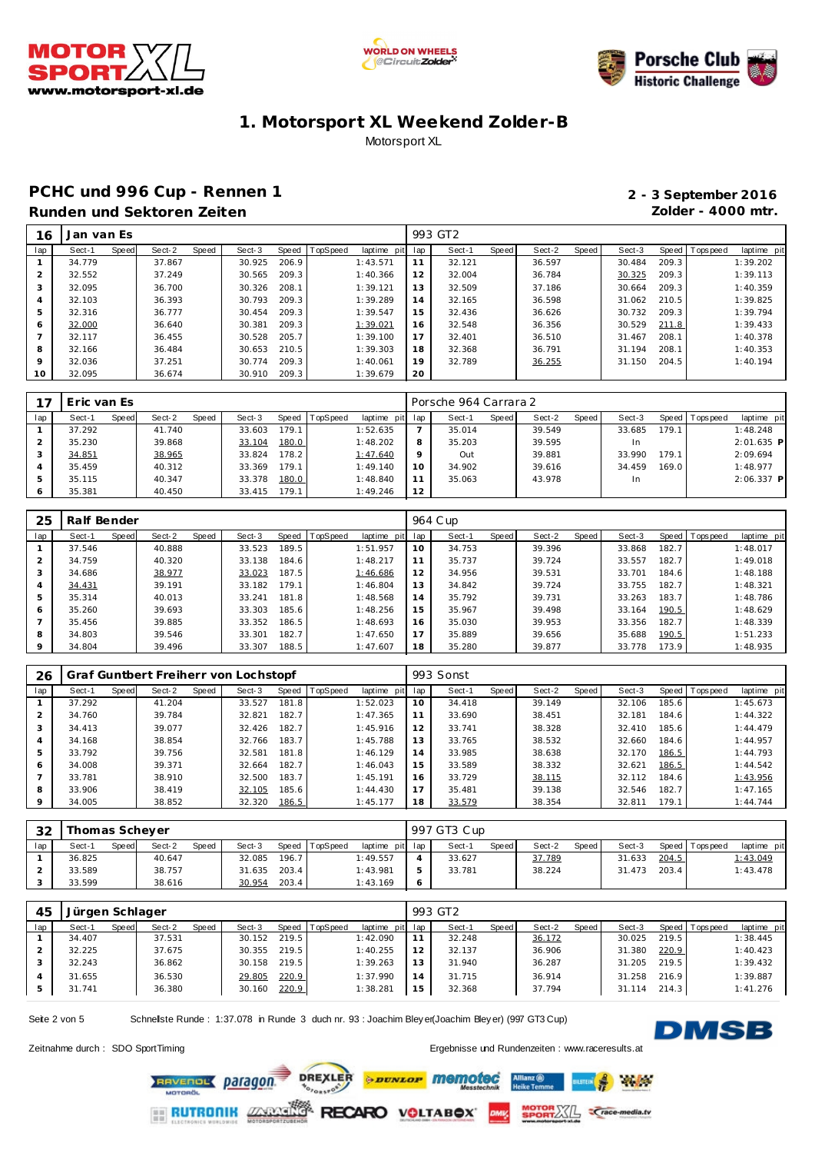





### **PCHC und 996 Cup - Rennen 1 2 - 3 September 2016 Runden und Sektoren Zeiten Zolder - 4000 mtr.**

| 16  | Jan van Es      |                 |                 |                            |     | 993 GT2 |       |        |       |        |       |                 |             |
|-----|-----------------|-----------------|-----------------|----------------------------|-----|---------|-------|--------|-------|--------|-------|-----------------|-------------|
| lap | Speed<br>Sect-1 | Speed<br>Sect-2 | Sect-3<br>Speed | TopSpeed<br>laptime<br>pit | lap | Sect-1  | Speed | Sect-2 | Speed | Sect-3 |       | Speed Tops peed | laptime pit |
|     | 34.779          | 37.867          | 206.9<br>30.925 | 1:43.571                   | 11  | 32.121  |       | 36.597 |       | 30.484 | 209.3 |                 | 1:39.202    |
|     | 32.552          | 37.249          | 209.3<br>30.565 | 1:40.366                   | 12  | 32.004  |       | 36.784 |       | 30.325 | 209.3 |                 | 1:39.113    |
| 3   | 32.095          | 36.700          | 208.1<br>30.326 | 1:39.121                   | 13  | 32.509  |       | 37.186 |       | 30.664 | 209.3 |                 | 1:40.359    |
| 4   | 32.103          | 36.393          | 209.3<br>30.793 | 1:39.289                   | 14  | 32.165  |       | 36.598 |       | 31.062 | 210.5 |                 | 1:39.825    |
| 5   | 32.316          | 36.777          | 209.3<br>30.454 | 1:39.547                   | 15  | 32.436  |       | 36.626 |       | 30.732 | 209.3 |                 | 1:39.794    |
| O   | 32.000          | 36.640          | 209.3<br>30.381 | 1:39.021                   | 16  | 32.548  |       | 36.356 |       | 30.529 | 211.8 |                 | 1:39.433    |
|     | 32.117          | 36.455          | 205.7<br>30.528 | 1:39.100                   | 17  | 32.401  |       | 36.510 |       | 31.467 | 208.1 |                 | 1:40.378    |
| 8   | 32.166          | 36.484          | 210.5<br>30.653 | 1:39.303                   | 18  | 32.368  |       | 36.791 |       | 31.194 | 208.1 |                 | 1:40.353    |
| 9   | 32.036          | 37.251          | 30.774<br>209.3 | 1:40.061                   | 19  | 32.789  |       | 36.255 |       | 31.150 | 204.5 |                 | 1:40.194    |
| 10  | 32.095          | 36.674          | 209.3<br>30.910 | 1:39.679                   | 20  |         |       |        |       |        |       |                 |             |

|         | Eric van Es |       |        |       |        |       |                |                 |         | Porsche 964 Carrara 2 |       |        |       |        |       |            |              |
|---------|-------------|-------|--------|-------|--------|-------|----------------|-----------------|---------|-----------------------|-------|--------|-------|--------|-------|------------|--------------|
| lap     | Sect-1      | Speed | Sect-2 | Speed | Sect-3 |       | Speed TopSpeed | laptime pit lap |         | Sect-1                | Speed | Sect-2 | Speed | Sect-3 | Speed | Tops pee d | laptime pit  |
|         | 37.292      |       | 41.740 |       | 33.603 | 179.1 |                | 1:52.635        |         | 35.014                |       | 39.549 |       | 33.685 | 179.1 |            | 1:48.248     |
|         | 35.230      |       | 39.868 |       | 33.104 | 180.0 |                | 1:48.202        | 8       | 35.203                |       | 39.595 |       | In.    |       |            | $2:01.635$ P |
|         | 34.851      |       | 38.965 |       | 33.824 | 178.2 |                | 1:47.640        | $\circ$ | Out                   |       | 39.881 |       | 33.990 | 179.1 |            | 2:09.694     |
|         | 35.459      |       | 40.312 |       | 33.369 | 179.1 |                | 1:49.140        | 10      | 34.902                |       | 39.616 |       | 34.459 | 169.0 |            | 1:48.977     |
|         | 35.115      |       | 40.347 |       | 33.378 | 180.0 |                | 1:48.840        | 11      | 35.063                |       | 43.978 |       | In.    |       |            | $2:06.337$ P |
| $\circ$ | 35.381      |       | 40.450 |       | 33.415 | 179.1 |                | 1:49.246        | 12      |                       |       |        |       |        |       |            |              |

| 25             | Ralf Bender |       |        |       |        |       |          |             |     | 964 C up |       |        |       |        |       |                |             |
|----------------|-------------|-------|--------|-------|--------|-------|----------|-------------|-----|----------|-------|--------|-------|--------|-------|----------------|-------------|
| lap            | Sect-1      | Speed | Sect-2 | Speed | Sect-3 | Speed | TopSpeed | laptime pit | lap | Sect-1   | Speed | Sect-2 | Speed | Sect-3 |       | Speed Topspeed | laptime pit |
|                | 37.546      |       | 40.888 |       | 33.523 | 189.5 |          | 1:51.957    | 10  | 34.753   |       | 39.396 |       | 33.868 | 182.7 |                | 1:48.017    |
|                | 34.759      |       | 40.320 |       | 33.138 | 184.6 |          | 1:48.217    | 11  | 35.737   |       | 39.724 |       | 33.557 | 182.7 |                | 1:49.018    |
| 3              | 34.686      |       | 38.977 |       | 33.023 | 187.5 |          | 1:46.686    | 12  | 34.956   |       | 39.531 |       | 33.701 | 184.6 |                | 1:48.188    |
| $\overline{4}$ | 34.431      |       | 39.191 |       | 33.182 | 179.1 |          | 1:46.804    | 13  | 34.842   |       | 39.724 |       | 33.755 | 182.7 |                | 1:48.321    |
| 5              | 35.314      |       | 40.013 |       | 33.241 | 181.8 |          | 1:48.568    | 14  | 35.792   |       | 39.731 |       | 33.263 | 183.7 |                | 1:48.786    |
| 6              | 35.260      |       | 39.693 |       | 33.303 | 185.6 |          | 1:48.256    | 15  | 35.967   |       | 39.498 |       | 33.164 | 190.5 |                | 1:48.629    |
|                | 35.456      |       | 39.885 |       | 33.352 | 186.5 |          | 1:48.693    | 16  | 35.030   |       | 39.953 |       | 33.356 | 182.7 |                | 1:48.339    |
| 8              | 34.803      |       | 39.546 |       | 33.301 | 182.7 |          | 1:47.650    | 17  | 35.889   |       | 39.656 |       | 35.688 | 190.5 |                | 1:51.233    |
| 9              | 34.804      |       | 39.496 |       | 33.307 | 188.5 |          | 1:47.607    | 18  | 35.280   |       | 39.877 |       | 33.778 | 173.9 |                | 1:48.935    |

| 26             |        |       |        |       | Graf Guntbert Freiherr von Lochstopf |       |          |             |     | 993 Sonst |       |        |       |        |       |                |             |
|----------------|--------|-------|--------|-------|--------------------------------------|-------|----------|-------------|-----|-----------|-------|--------|-------|--------|-------|----------------|-------------|
| lap            | Sect-1 | Speed | Sect-2 | Speed | Sect-3                               | Speed | TopSpeed | laptime pit | lap | Sect-1    | Speed | Sect-2 | Speed | Sect-3 |       | Speed Topspeed | laptime pit |
|                | 37.292 |       | 41.204 |       | 33.527                               | 181.8 |          | 1:52.023    | 10  | 34.418    |       | 39.149 |       | 32.106 | 185.6 |                | 1:45.673    |
|                | 34.760 |       | 39.784 |       | 32.821                               | 182.7 |          | 1:47.365    | 11  | 33.690    |       | 38.451 |       | 32.181 | 184.6 |                | 1:44.322    |
| 3              | 34.413 |       | 39.077 |       | 32.426                               | 182.7 |          | 1:45.916    | 12  | 33.741    |       | 38.328 |       | 32.410 | 185.6 |                | 1:44.479    |
| $\overline{a}$ | 34.168 |       | 38.854 |       | 32.766                               | 183.7 |          | 1:45.788    | 13  | 33.765    |       | 38.532 |       | 32.660 | 184.6 |                | 1:44.957    |
| 5              | 33.792 |       | 39.756 |       | 32.581                               | 181.8 |          | 1:46.129    | 14  | 33.985    |       | 38.638 |       | 32.170 | 186.5 |                | 1:44.793    |
| 6              | 34.008 |       | 39.371 |       | 32.664                               | 182.7 |          | 1:46.043    | 15  | 33.589    |       | 38.332 |       | 32.621 | 186.5 |                | 1:44.542    |
|                | 33.781 |       | 38.910 |       | 32.500                               | 183.7 |          | 1:45.191    | 16  | 33.729    |       | 38.115 |       | 32.112 | 184.6 |                | 1:43.956    |
| 8              | 33.906 |       | 38.419 |       | 32.105                               | 185.6 |          | 1:44.430    | 17  | 35.481    |       | 39.138 |       | 32.546 | 182.7 |                | 1:47.165    |
| $\circ$        | 34.005 |       | 38.852 |       | 32.320                               | 186.5 |          | 1:45.177    | 18  | 33.579    |       | 38.354 |       | 32.811 | 179.1 |                | 1:44.744    |

| 32  |        | Thomas Schever |        |       |        |       |                |                 |  |        | 997 GT3 Cup  |        |       |        |       |                   |             |
|-----|--------|----------------|--------|-------|--------|-------|----------------|-----------------|--|--------|--------------|--------|-------|--------|-------|-------------------|-------------|
| lap | Sect-1 | Speed          | Sect-2 | Speed | Sect-3 |       | Speed TopSpeed | laptime pit lap |  | Sect-1 | <b>Speed</b> | Sect-2 | Speed | Sect-3 |       | Speed   Tops peed | laptime pit |
|     | 36.825 |                | 40.647 |       | 32.085 | 196.7 |                | 1:49.557        |  | 33.627 |              | 37.789 |       | 31.633 | 204.5 |                   | 1:43.049    |
|     | 33.589 |                | 38.757 |       | 31.635 | 203.4 |                | 1:43.981        |  | 33.781 |              | 38.224 |       | 31.473 | 203.4 |                   | 1:43.478    |
|     | 33.599 |                | 38.616 |       | 30.954 | 203.4 |                | 1:43.169        |  |        |              |        |       |        |       |                   |             |

| 45  | Jürgen Schlager |       |        |       |        |       |                  |                 |    | 993 GT2 |       |        |       |             |       |                 |             |
|-----|-----------------|-------|--------|-------|--------|-------|------------------|-----------------|----|---------|-------|--------|-------|-------------|-------|-----------------|-------------|
| lap | Sect-1          | Speed | Sect-2 | Speed | Sect-3 |       | Speed   TopSpeed | laptime pit lap |    | Sect-1  | Speed | Sect-2 | Speed | Sect-3      |       | Speed Tops peed | laptime pit |
|     | 34.407          |       | 37.531 |       | 30.152 | 219.5 |                  | 1:42.090        |    | 32.248  |       | 36.172 |       | 30.025      | 219.5 |                 | 1:38.445    |
|     | 32.225          |       | 37.675 |       | 30.355 | 219.5 |                  | 1:40.255        |    | 32.137  |       | 36.906 |       | .380<br>31. | 220.9 |                 | 1:40.423    |
|     | 32.243          |       | 36.862 |       | 30.158 | 219.5 |                  | 1:39.263        | 13 | 31.940  |       | 36.287 |       | 31.205      | 219.5 |                 | 1:39.432    |
|     | 31.655          |       | 36.530 |       | 29.805 | 220.9 |                  | 1:37.990        | 14 | 31.715  |       | 36.914 |       | 31.258      | 216.9 |                 | 1:39.887    |
|     | 31.741          |       | 36.380 |       | 30.160 | 220.9 |                  | 1:38.281        | 15 | 32.368  |       | 37.794 |       | 114<br>31.  | 214.3 |                 | 1:41.276    |

Seite 2 von 5 Schnelste Runde : 1:37.078 in Runde 3 duch nr. 93 : Joachim Bley er(Joachim Bley er) (997 GT3 Cup)

**DMSB** 

 $\mathcal{H}_{\mathcal{S}}$ 

Zeitnahme durch : SDO SportTiming et al. et al. et al. et al. et al. et al. et al. et al. et al. et al. et al. et al. et al. et al. et al. et al. et al. et al. et al. et al. et al. et al. et al. et al. et al. et al. et al.

**DREXLER** *<u>DUNLOP</u> memoted* **RAVENOL Daragon**  $O_{r_{0}}$ **RUTRONIK ZXXX** 

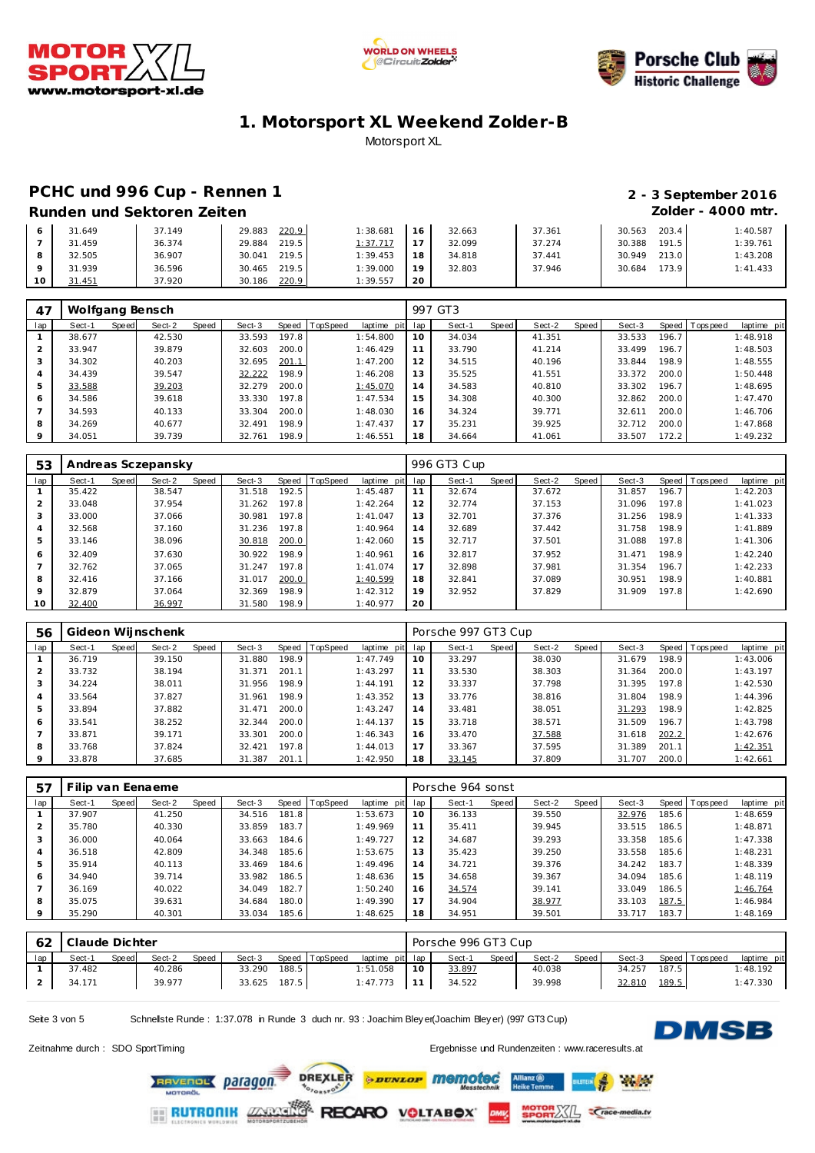





## **PCHC und 996 Cup - Rennen 1 2 - 3 September 2016**

# **Runden und Sektoren Zeiten Zolder - 4000 mtr.**

|  | Runden und Sektoren Zeiten |  |
|--|----------------------------|--|
|  |                            |  |

| 31.649 | 37.149 | 29.883<br>220.9 | 1:38.681 | 16         | 32.663 | 37.361 | 203.4<br>30.563 | 1:40.587 |
|--------|--------|-----------------|----------|------------|--------|--------|-----------------|----------|
| 31.459 | 36.374 | 219.5<br>29.884 | 1:37.717 | $\sim$ $-$ | 32.099 | 37.274 | 191.5<br>30.388 | 1:39.761 |
| 32.505 | 36.907 | 219.5<br>30.041 | 1:39.453 | 18         | 34.818 | 37.441 | 213.0<br>30.949 | 1:43.208 |
| 31.939 | 36.596 | 219.5<br>30.465 | 1:39.000 | 10         | 32.803 | 37.946 | 173.9<br>30.684 | 1:41.433 |
| 31.451 | 37.920 | 220.9<br>30.186 | 1:39.557 | -20        |        |        |                 |          |

| 47      | Wolfgang Bensch |       |        |       |        |       |                  |             |     | 997 GT3 |       |        |       |        |       |                  |             |
|---------|-----------------|-------|--------|-------|--------|-------|------------------|-------------|-----|---------|-------|--------|-------|--------|-------|------------------|-------------|
| lap     | Sect-1          | Speed | Sect-2 | Speed | Sect-3 |       | Speed   TopSpeed | laptime pit | lap | Sect-1  | Speed | Sect-2 | Speed | Sect-3 |       | Speed   Topspeed | laptime pit |
|         | 38.677          |       | 42.530 |       | 33.593 | 197.8 |                  | 1:54.800    | 10  | 34.034  |       | 41.351 |       | 33.533 | 196.7 |                  | 1:48.918    |
|         | 33.947          |       | 39.879 |       | 32.603 | 200.0 |                  | 1:46.429    |     | 33.790  |       | 41.214 |       | 33.499 | 196.7 |                  | 1:48.503    |
| 3       | 34.302          |       | 40.203 |       | 32.695 | 201.1 |                  | 1:47.200    | 12  | 34.515  |       | 40.196 |       | 33.844 | 198.9 |                  | 1:48.555    |
| 4       | 34.439          |       | 39.547 |       | 32.222 | 198.9 |                  | 1:46.208    | 13  | 35.525  |       | 41.551 |       | 33.372 | 200.0 |                  | 1:50.448    |
| 5       | 33.588          |       | 39.203 |       | 32.279 | 200.0 |                  | 1:45.070    | 14  | 34.583  |       | 40.810 |       | 33.302 | 196.7 |                  | 1:48.695    |
| 6       | 34.586          |       | 39.618 |       | 33.330 | 197.8 |                  | 1:47.534    | 15  | 34.308  |       | 40.300 |       | 32.862 | 200.0 |                  | 1:47.470    |
|         | 34.593          |       | 40.133 |       | 33.304 | 200.0 |                  | 1:48.030    | 16  | 34.324  |       | 39.771 |       | 32.611 | 200.0 |                  | 1:46.706    |
| 8       | 34.269          |       | 40.677 |       | 32.491 | 198.9 |                  | 1:47.437    | 17  | 35.231  |       | 39.925 |       | 32.712 | 200.0 |                  | 1:47.868    |
| $\circ$ | 34.051          |       | 39.739 |       | 32.761 | 198.9 |                  | 1:46.551    | 18  | 34.664  |       | 41.061 |       | 33.507 | 172.2 |                  | 1:49.232    |

| 53      |        |       | Andreas Sczepansky |       |        |       |                  |             |     | 996 GT3 Cup |       |        |       |        |       |                |             |
|---------|--------|-------|--------------------|-------|--------|-------|------------------|-------------|-----|-------------|-------|--------|-------|--------|-------|----------------|-------------|
| lap     | Sect-1 | Speed | Sect-2             | Speed | Sect-3 |       | Speed   TopSpeed | laptime pit | lap | Sect-1      | Speed | Sect-2 | Speed | Sect-3 |       | Speed Topspeed | laptime pit |
|         | 35.422 |       | 38.547             |       | 31.518 | 192.5 |                  | 1:45.487    | 11  | 32.674      |       | 37.672 |       | 31.857 | 196.7 |                | 1:42.203    |
|         | 33.048 |       | 37.954             |       | 31.262 | 197.8 |                  | 1:42.264    | 12  | 32.774      |       | 37.153 |       | 31.096 | 197.8 |                | 1:41.023    |
|         | 33.000 |       | 37.066             |       | 30.981 | 197.8 |                  | 1:41.047    | 13  | 32.701      |       | 37.376 |       | 31.256 | 198.9 |                | 1:41.333    |
| 4       | 32.568 |       | 37.160             |       | 31.236 | 197.8 |                  | 1:40.964    | 14  | 32.689      |       | 37.442 |       | 31.758 | 198.9 |                | 1:41.889    |
| 5       | 33.146 |       | 38.096             |       | 30.818 | 200.0 |                  | 1:42.060    | 15  | 32.717      |       | 37.501 |       | 31.088 | 197.8 |                | 1:41.306    |
| 6       | 32.409 |       | 37.630             |       | 30.922 | 198.9 |                  | 1:40.961    | 16  | 32.817      |       | 37.952 |       | 31.471 | 198.9 |                | 1:42.240    |
|         | 32.762 |       | 37.065             |       | 31.247 | 197.8 |                  | 1:41.074    | 17  | 32.898      |       | 37.981 |       | 31.354 | 196.7 |                | 1:42.233    |
| 8       | 32.416 |       | 37.166             |       | 31.017 | 200.0 |                  | 1:40.599    | 18  | 32.841      |       | 37.089 |       | 30.951 | 198.9 |                | 1:40.881    |
| $\circ$ | 32.879 |       | 37.064             |       | 32.369 | 198.9 |                  | 1:42.312    | 19  | 32.952      |       | 37.829 |       | 31.909 | 197.8 |                | 1:42.690    |
| 10      | 32.400 |       | 36.997             |       | 31.580 | 198.9 |                  | 1:40.977    | 20  |             |       |        |       |        |       |                |             |

| 56             |        |       | Gideon Wijnschenk |       |        |       |                |                 |    | Porsche 997 GT3 Cup |       |        |       |        |       |                 |             |
|----------------|--------|-------|-------------------|-------|--------|-------|----------------|-----------------|----|---------------------|-------|--------|-------|--------|-------|-----------------|-------------|
| lap            | Sect-1 | Speed | Sect-2            | Speed | Sect-3 |       | Speed TopSpeed | laptime pit lap |    | Sect-1              | Speed | Sect-2 | Speed | Sect-3 |       | Speed Tops peed | laptime pit |
|                | 36.719 |       | 39.150            |       | 31.880 | 198.9 |                | 1:47.749        | 10 | 33.297              |       | 38.030 |       | 31.679 | 198.9 |                 | 1:43.006    |
|                | 33.732 |       | 38.194            |       | 31.371 | 201.1 |                | 1:43.297        | 11 | 33.530              |       | 38.303 |       | 31.364 | 200.0 |                 | 1:43.197    |
| 3              | 34.224 |       | 38.011            |       | 31.956 | 198.9 |                | 1:44.191        | 12 | 33.337              |       | 37.798 |       | 31.395 | 197.8 |                 | 1:42.530    |
| $\overline{4}$ | 33.564 |       | 37.827            |       | 31.961 | 198.9 |                | 1:43.352        | 13 | 33.776              |       | 38.816 |       | 31.804 | 198.9 |                 | 1:44.396    |
| 5              | 33.894 |       | 37.882            |       | 31.471 | 200.0 |                | 1:43.247        | 14 | 33.481              |       | 38.051 |       | 31.293 | 198.9 |                 | 1:42.825    |
| 6              | 33.541 |       | 38.252            |       | 32.344 | 200.0 |                | 1:44.137        | 15 | 33.718              |       | 38.571 |       | 31.509 | 196.7 |                 | 1:43.798    |
|                | 33.871 |       | 39.171            |       | 33.301 | 200.0 |                | 1:46.343        | 16 | 33.470              |       | 37.588 |       | 31.618 | 202.2 |                 | 1:42.676    |
| 8              | 33.768 |       | 37.824            |       | 32.421 | 197.8 |                | 1:44.013        | 17 | 33.367              |       | 37.595 |       | 31.389 | 201.1 |                 | 1:42.351    |
| 9              | 33.878 |       | 37.685            |       | 31.387 | 201.1 |                | 1:42.950        | 18 | 33.145              |       | 37.809 |       | 31.707 | 200.0 |                 | 1:42.661    |

| -57     |        |       | Filip van Eenaeme |       |        |       |          |             |     | Porsche 964 sonst |       |        |       |        |       |                 |             |
|---------|--------|-------|-------------------|-------|--------|-------|----------|-------------|-----|-------------------|-------|--------|-------|--------|-------|-----------------|-------------|
| lap     | Sect-1 | Speed | Sect-2            | Speed | Sect-3 | Speed | TopSpeed | laptime pit | lap | Sect-1            | Speed | Sect-2 | Speed | Sect-3 |       | Speed Tops peed | laptime pit |
|         | 37.907 |       | 41.250            |       | 34.516 | 181.8 |          | 1:53.673    | 10  | 36.133            |       | 39.550 |       | 32.976 | 185.6 |                 | 1:48.659    |
| 2       | 35.780 |       | 40.330            |       | 33.859 | 183.7 |          | 1:49.969    | 11  | 35.411            |       | 39.945 |       | 33.515 | 186.5 |                 | 1:48.871    |
| 3       | 36.000 |       | 40.064            |       | 33.663 | 184.6 |          | 1:49.727    | 12  | 34.687            |       | 39.293 |       | 33.358 | 185.6 |                 | 1:47.338    |
| 4       | 36.518 |       | 42.809            |       | 34.348 | 185.6 |          | 1:53.675    | 13  | 35.423            |       | 39.250 |       | 33.558 | 185.6 |                 | 1:48.231    |
| 5       | 35.914 |       | 40.113            |       | 33.469 | 184.6 |          | 1:49.496    | 14  | 34.721            |       | 39.376 |       | 34.242 | 183.7 |                 | 1:48.339    |
| 6       | 34.940 |       | 39.714            |       | 33.982 | 186.5 |          | 1:48.636    | 15  | 34.658            |       | 39.367 |       | 34.094 | 185.6 |                 | 1:48.119    |
|         | 36.169 |       | 40.022            |       | 34.049 | 182.7 |          | 1:50.240    | 16  | 34.574            |       | 39.141 |       | 33.049 | 186.5 |                 | 1:46.764    |
| 8       | 35.075 |       | 39.631            |       | 34.684 | 180.0 |          | 1:49.390    | 17  | 34.904            |       | 38.977 |       | 33.103 | 187.5 |                 | 1:46.984    |
| $\circ$ | 35.290 |       | 40.301            |       | 33.034 | 185.6 |          | 1:48.625    | 18  | 34.951            |       | 39.501 |       | 33.717 | 183.7 |                 | 1:48.169    |

|     | Claude Dichter |       |        |       |        |       |                |                 |    | Porsche 996 GT3 Cup |              |        |       |        |       |                 |             |
|-----|----------------|-------|--------|-------|--------|-------|----------------|-----------------|----|---------------------|--------------|--------|-------|--------|-------|-----------------|-------------|
| lap | Sect-1         | Speed | Sect-2 | Speed | Sect-3 |       | Speed TopSpeed | laptime pit lap |    | Sect-1              | <b>Speed</b> | Sect-2 | Speed | Sect-3 |       | Speed Tops peed | laptime pit |
|     | 37.482         |       | 40.286 |       | 33.290 | 188.5 |                | : 51.058        | 10 | 33.897              |              | 40.038 |       | 34.257 | 187.5 |                 | 1:48.192    |
|     | 34.171         |       | 39.977 |       | 33.625 | 187.5 |                | 1:47.773        |    | 34.522              |              | 39.998 |       | 32.810 | 189.5 |                 | 1:47.330    |

Seite 3 von 5 Schnellste Runde : 1:37.078 in Runde 3 duch nr. 93 : Joachim Bley er(Joachim Bley er) (997 GT3 Cup)



 $\frac{1}{2}$ 

**ILSTEIN** 

**SPORTALL Crace-media.tv** 

Zeitnahme durch : SDO SportTiming Ergebnisse und Rundenzeiten [: www.raceresults](www.raceresults.at).at

DREXLER *<u><b>PENLOP</u>* memoted RAVENOL Daragon. PORSPORT

**RUTRONIK ZARAS** 

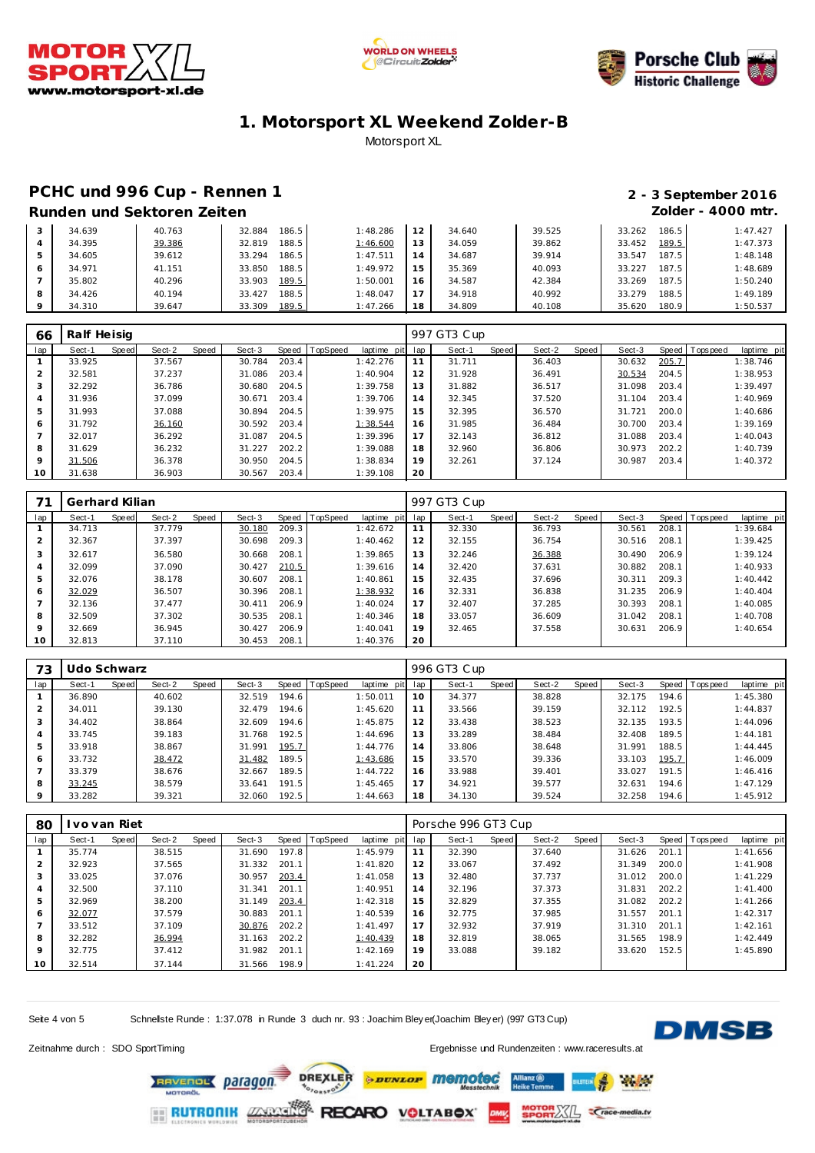





### **PCHC und 996 Cup - Rennen 1 2 - 3 September 2016 Runden und Sektoren Zeiten Zolder - 4000 mtr.**

| 34.639 | 40.763 | 186.5<br>32.884 | 1:48.286 |                | 34.640 | 39.525 | 33.262<br>186.5 | 1:47.427 |
|--------|--------|-----------------|----------|----------------|--------|--------|-----------------|----------|
| 34.395 | 39.386 | 188.5<br>32.819 | 1:46.600 |                | 34.059 | 39.862 | 189.5<br>33.452 | 1:47.373 |
| 34.605 | 39.612 | 186.5<br>33.294 | 1:47.511 | $\overline{A}$ | 34.687 | 39.914 | 187.5<br>33.547 | 1:48.148 |
| 34.971 | 41.151 | 188.5<br>33.850 | 1:49.972 | Б.             | 35.369 | 40.093 | 187.5<br>33.227 | 1:48.689 |
| 35.802 | 40.296 | 189.5<br>33.903 | 1:50.001 |                | 34.587 | 42.384 | 187.5<br>33.269 | 1:50.240 |
| 34.426 | 40.194 | 188.5<br>33.427 | 1:48.047 |                | 34.918 | 40.992 | 188.5<br>33.279 | 1:49.189 |
| 34.310 | 39.647 | 189.5<br>33.309 | 1:47.266 | 8              | 34.809 | 40.108 | 180.9<br>35.620 | 1:50.537 |

| 66      | Ralf Heisig |       |        |       |        |       |          |                 |    | 997 GT3 Cup |       |        |       |        |       |                 |             |
|---------|-------------|-------|--------|-------|--------|-------|----------|-----------------|----|-------------|-------|--------|-------|--------|-------|-----------------|-------------|
| lap     | Sect-1      | Speed | Sect-2 | Speed | Sect-3 | Speed | TopSpeed | laptime pit lap |    | Sect-1      | Speed | Sect-2 | Speed | Sect-3 |       | Speed Tops peed | laptime pit |
|         | 33.925      |       | 37.567 |       | 30.784 | 203.4 |          | 1:42.276        | 11 | 31.711      |       | 36.403 |       | 30.632 | 205.7 |                 | 1:38.746    |
|         | 32.581      |       | 37.237 |       | 31.086 | 203.4 |          | 1:40.904        | 12 | 31.928      |       | 36.491 |       | 30.534 | 204.5 |                 | 1:38.953    |
|         | 32.292      |       | 36.786 |       | 30.680 | 204.5 |          | 1:39.758        | 13 | 31.882      |       | 36.517 |       | 31.098 | 203.4 |                 | 1:39.497    |
| 4       | 31.936      |       | 37.099 |       | 30.671 | 203.4 |          | 1:39.706        | 14 | 32.345      |       | 37.520 |       | 31.104 | 203.4 |                 | 1:40.969    |
| 5       | 31.993      |       | 37.088 |       | 30.894 | 204.5 |          | 1:39.975        | 15 | 32.395      |       | 36.570 |       | 31.721 | 200.0 |                 | 1:40.686    |
| 6       | 31.792      |       | 36.160 |       | 30.592 | 203.4 |          | 1:38.544        | 16 | 31.985      |       | 36.484 |       | 30.700 | 203.4 |                 | 1:39.169    |
|         | 32.017      |       | 36.292 |       | 31.087 | 204.5 |          | 1:39.396        | 17 | 32.143      |       | 36.812 |       | 31.088 | 203.4 |                 | 1:40.043    |
| 8       | 31.629      |       | 36.232 |       | 31.227 | 202.2 |          | 1:39.088        | 18 | 32.960      |       | 36.806 |       | 30.973 | 202.2 |                 | 1:40.739    |
| $\circ$ | 31.506      |       | 36.378 |       | 30.950 | 204.5 |          | 1:38.834        | 19 | 32.261      |       | 37.124 |       | 30.987 | 203.4 |                 | 1:40.372    |
| 10      | 31.638      |       | 36.903 |       | 30.567 | 203.4 |          | 1:39.108        | 20 |             |       |        |       |        |       |                 |             |

|                 | Gerhard Kilian |       |        |       |        |       |                |                 |    | 997 GT3 Cup |       |        |       |        |       |                 |             |
|-----------------|----------------|-------|--------|-------|--------|-------|----------------|-----------------|----|-------------|-------|--------|-------|--------|-------|-----------------|-------------|
| lap             | Sect-1         | Speed | Sect-2 | Speed | Sect-3 |       | Speed TopSpeed | laptime pit lap |    | Sect-1      | Speed | Sect-2 | Speed | Sect-3 |       | Speed Tops peed | laptime pit |
|                 | 34.713         |       | 37.779 |       | 30.180 | 209.3 |                | 1:42.672        | 11 | 32.330      |       | 36.793 |       | 30.561 | 208.1 |                 | 1:39.684    |
|                 | 32.367         |       | 37.397 |       | 30.698 | 209.3 |                | 1:40.462        | 12 | 32.155      |       | 36.754 |       | 30.516 | 208.1 |                 | 1:39.425    |
| 3               | 32.617         |       | 36.580 |       | 30.668 | 208.1 |                | 1:39.865        | 13 | 32.246      |       | 36.388 |       | 30.490 | 206.9 |                 | 1:39.124    |
| 4               | 32.099         |       | 37.090 |       | 30.427 | 210.5 |                | 1:39.616        | 14 | 32.420      |       | 37.631 |       | 30.882 | 208.1 |                 | 1:40.933    |
| 5               | 32.076         |       | 38.178 |       | 30.607 | 208.1 |                | 1:40.861        | 15 | 32.435      |       | 37.696 |       | 30.311 | 209.3 |                 | 1:40.442    |
| 6               | 32.029         |       | 36.507 |       | 30.396 | 208.1 |                | 1:38.932        | 16 | 32.331      |       | 36.838 |       | 31.235 | 206.9 |                 | 1:40.404    |
|                 | 32.136         |       | 37.477 |       | 30.411 | 206.9 |                | 1:40.024        | 17 | 32.407      |       | 37.285 |       | 30.393 | 208.1 |                 | 1:40.085    |
| 8               | 32.509         |       | 37.302 |       | 30.535 | 208.1 |                | 1:40.346        | 18 | 33.057      |       | 36.609 |       | 31.042 | 208.1 |                 | 1:40.708    |
| $\circ$         | 32.669         |       | 36.945 |       | 30.427 | 206.9 |                | 1:40.041        | 19 | 32.465      |       | 37.558 |       | 30.631 | 206.9 |                 | 1:40.654    |
| 10 <sup>°</sup> | 32.813         |       | 37.110 |       | 30.453 | 208.1 |                | 1:40.376        | 20 |             |       |        |       |        |       |                 |             |

| 73             | Udo Schwarz |       |        |       |        |       |                |                |     | 996 GT3 Cup |       |        |       |        |       |                 |             |
|----------------|-------------|-------|--------|-------|--------|-------|----------------|----------------|-----|-------------|-------|--------|-------|--------|-------|-----------------|-------------|
| lap            | Sect-1      | Speed | Sect-2 | Speed | Sect-3 |       | Speed TopSpeed | laptime<br>pit | lap | Sect-1      | Speed | Sect-2 | Speed | Sect-3 |       | Speed Tops peed | laptime pit |
|                | 36.890      |       | 40.602 |       | 32.519 | 194.6 |                | 1:50.011       | 10  | 34.377      |       | 38.828 |       | 32.175 | 194.6 |                 | 1:45.380    |
| $\overline{2}$ | 34.011      |       | 39.130 |       | 32.479 | 194.6 |                | 1:45.620       | 11  | 33.566      |       | 39.159 |       | 32.112 | 192.5 |                 | 1:44.837    |
| 3              | 34.402      |       | 38.864 |       | 32.609 | 194.6 |                | 1:45.875       | 12  | 33.438      |       | 38.523 |       | 32.135 | 193.5 |                 | 1:44.096    |
| 4              | 33.745      |       | 39.183 |       | 31.768 | 192.5 |                | 1:44.696       | 13  | 33.289      |       | 38.484 |       | 32.408 | 189.5 |                 | 1:44.181    |
| 5              | 33.918      |       | 38.867 |       | 31.991 | 195.7 |                | 1:44.776       | 14  | 33.806      |       | 38.648 |       | 31.991 | 188.5 |                 | 1:44.445    |
| 6              | 33.732      |       | 38.472 |       | 31.482 | 189.5 |                | 1:43.686       | 15  | 33.570      |       | 39.336 |       | 33.103 | 195.7 |                 | 1:46.009    |
|                | 33.379      |       | 38.676 |       | 32.667 | 189.5 |                | 1:44.722       | 16  | 33.988      |       | 39.401 |       | 33.027 | 191.5 |                 | 1:46.416    |
| 8              | 33.245      |       | 38.579 |       | 33.641 | 191.5 |                | 1:45.465       | 17  | 34.921      |       | 39.577 |       | 32.631 | 194.6 |                 | 1:47.129    |
| $\circ$        | 33.282      |       | 39.321 |       | 32.060 | 192.5 |                | 1:44.663       | 18  | 34.130      |       | 39.524 |       | 32.258 | 194.6 |                 | 1:45.912    |

| 80             | vo van Riet |       |        |       |        |       |          |             |     | Porsche 996 GT3 Cup |       |        |       |        |       |           |             |
|----------------|-------------|-------|--------|-------|--------|-------|----------|-------------|-----|---------------------|-------|--------|-------|--------|-------|-----------|-------------|
| lap            | Sect-1      | Speed | Sect-2 | Speed | Sect-3 | Speed | TopSpeed | laptime pit | lap | Sect-1              | Speed | Sect-2 | Speed | Sect-3 | Speed | Tops peed | laptime pit |
|                | 35.774      |       | 38.515 |       | 31.690 | 197.8 |          | 1:45.979    | 11  | 32.390              |       | 37.640 |       | 31.626 | 201.1 |           | 1:41.656    |
|                | 32.923      |       | 37.565 |       | 31.332 | 201.1 |          | 1:41.820    | 12  | 33.067              |       | 37.492 |       | 31.349 | 200.0 |           | 1:41.908    |
| 3              | 33.025      |       | 37.076 |       | 30.957 | 203.4 |          | 1:41.058    | 13  | 32.480              |       | 37.737 |       | 31.012 | 200.0 |           | 1:41.229    |
| $\overline{4}$ | 32.500      |       | 37.110 |       | 31.341 | 201.1 |          | 1:40.951    | 14  | 32.196              |       | 37.373 |       | 31.831 | 202.2 |           | 1:41.400    |
| 5              | 32.969      |       | 38.200 |       | 31.149 | 203.4 |          | 1:42.318    | 15  | 32.829              |       | 37.355 |       | 31.082 | 202.2 |           | 1:41.266    |
| 6              | 32.077      |       | 37.579 |       | 30.883 | 201.1 |          | 1:40.539    | 16  | 32.775              |       | 37.985 |       | 31.557 | 201.1 |           | 1:42.317    |
|                | 33.512      |       | 37.109 |       | 30.876 | 202.2 |          | 1:41.497    | 17  | 32.932              |       | 37.919 |       | 31.310 | 201.1 |           | 1:42.161    |
| 8              | 32.282      |       | 36.994 |       | 31.163 | 202.2 |          | 1:40.439    | 18  | 32.819              |       | 38.065 |       | 31.565 | 198.9 |           | 1:42.449    |
| $\circ$        | 32.775      |       | 37.412 |       | 31.982 | 201.1 |          | 1:42.169    | 19  | 33.088              |       | 39.182 |       | 33.620 | 152.5 |           | 1:45.890    |
| 10             | 32.514      |       | 37.144 |       | 31.566 | 198.9 |          | 1:41.224    | 20  |                     |       |        |       |        |       |           |             |

*SEUNLOP MOMOtoc* 

RECARO VOLTABOX

Seite 4 von 5 Schnelste Runde : 1:37.078 in Runde 3 duch nr. 93 : Joachim Bley er(Joachim Bley er) (997 GT3 Cup)

**DREXLER** 

Progenot



 $a, b$ 

*<u>Crace-media.tv</u>* 

**LETEIN** 

RAVENOL Daragon

**RUTRONIK ZARAS** 

Zeitnahme durch : SDO SportTiming et al. et al. et al. et al. et al. et al. et al. et al. et al. et al. et al. et al. et al. et al. et al. et al. et al. et al. et al. et al. et al. et al. et al. et al. et al. et al. et al.

**PORTASLE**